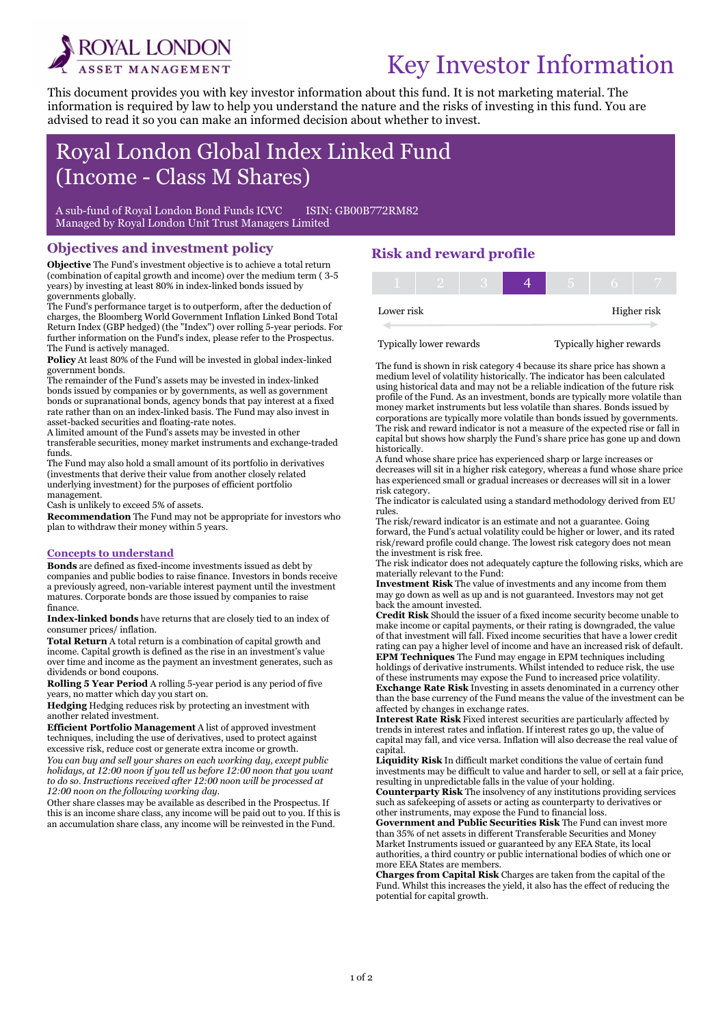

i

# Key Investor Information

This document provides you with key investor information about this fund. It is not marketing material. The information is required by law to help you understand the nature and the risks of investing in this fund. You are advised to read it so you can make an informed decision about whether to invest.

## Royal London Global Index Linked Fund (Income - Class M Shares)

A sub-fund of Royal London Bond Funds ICVC ISIN: GB00B772RM82 Managed by Royal London Unit Trust Managers Limited

#### Objectives and investment policy

Objective The Fund's investment objective is to achieve a total return (combination of capital growth and income) over the medium term ( 3-5 years) by investing at least 80% in index-linked bonds issued by governments globally.

The Fund's performance target is to outperform, after the deduction of charges, the Bloomberg World Government Inflation Linked Bond Total Return Index (GBP hedged) (the "Index") over rolling 5-year periods. For further information on the Fund's index, please refer to the Prospectus. The Fund is actively managed.

Policy At least 80% of the Fund will be invested in global index-linked government bonds.

The remainder of the Fund's assets may be invested in index-linked bonds issued by companies or by governments, as well as government bonds or supranational bonds, agency bonds that pay interest at a fixed rate rather than on an index-linked basis. The Fund may also invest in asset-backed securities and floating-rate notes.

A limited amount of the Fund's assets may be invested in other transferable securities, money market instruments and exchange-traded funds.

The Fund may also hold a small amount of its portfolio in derivatives (investments that derive their value from another closely related underlying investment) for the purposes of efficient portfolio management.

Cash is unlikely to exceed 5% of assets.

Recommendation The Fund may not be appropriate for investors who plan to withdraw their money within 5 years.

#### Concepts to understand

Bonds are defined as fixed-income investments issued as debt by companies and public bodies to raise finance. Investors in bonds receive a previously agreed, non-variable interest payment until the investment matures. Corporate bonds are those issued by companies to raise finance.

Index-linked bonds have returns that are closely tied to an index of consumer prices/ inflation.

Total Return A total return is a combination of capital growth and income. Capital growth is defined as the rise in an investment's value over time and income as the payment an investment generates, such as dividends or bond coupons.

Rolling 5 Year Period A rolling 5-year period is any period of five years, no matter which day you start on.

Hedging Hedging reduces risk by protecting an investment with another related investment.

Efficient Portfolio Management A list of approved investment techniques, including the use of derivatives, used to protect against excessive risk, reduce cost or generate extra income or growth.

You can buy and sell your shares on each working day, except public holidays, at 12:00 noon if you tell us before 12:00 noon that you want to do so. Instructions received after 12:00 noon will be processed at 12:00 noon on the following working day.

Other share classes may be available as described in the Prospectus. If this is an income share class, any income will be paid out to you. If this is an accumulation share class, any income will be reinvested in the Fund.

### Risk and reward profile

| Lower risk |  |  |  | Higher risk |
|------------|--|--|--|-------------|

Typically lower rewards Typically higher rewards

The fund is shown in risk category 4 because its share price has shown a medium level of volatility historically. The indicator has been calculated using historical data and may not be a reliable indication of the future risk profile of the Fund. As an investment, bonds are typically more volatile than money market instruments but less volatile than shares. Bonds issued by corporations are typically more volatile than bonds issued by governments. The risk and reward indicator is not a measure of the expected rise or fall in capital but shows how sharply the Fund's share price has gone up and down historically.

A fund whose share price has experienced sharp or large increases or decreases will sit in a higher risk category, whereas a fund whose share price has experienced small or gradual increases or decreases will sit in a lower risk category.

The indicator is calculated using a standard methodology derived from EU rules.

The risk/reward indicator is an estimate and not a guarantee. Going forward, the Fund's actual volatility could be higher or lower, and its rated risk/reward profile could change. The lowest risk category does not mean the investment is risk free.

The risk indicator does not adequately capture the following risks, which are materially relevant to the Fund:

Investment Risk The value of investments and any income from them may go down as well as up and is not guaranteed. Investors may not get back the amount invested.

Credit Risk Should the issuer of a fixed income security become unable to make income or capital payments, or their rating is downgraded, the value of that investment will fall. Fixed income securities that have a lower credit rating can pay a higher level of income and have an increased risk of default. EPM Techniques The Fund may engage in EPM techniques including holdings of derivative instruments. Whilst intended to reduce risk, the use of these instruments may expose the Fund to increased price volatility. Exchange Rate Risk Investing in assets denominated in a currency other than the base currency of the Fund means the value of the investment can be

affected by changes in exchange rates. Interest Rate Risk Fixed interest securities are particularly affected by trends in interest rates and inflation. If interest rates go up, the value of capital may fall, and vice versa. Inflation will also decrease the real value of

capital. Liquidity Risk In difficult market conditions the value of certain fund investments may be difficult to value and harder to sell, or sell at a fair price, resulting in unpredictable falls in the value of your holding.

Counterparty Risk The insolvency of any institutions providing services such as safekeeping of assets or acting as counterparty to derivatives or other instruments, may expose the Fund to financial loss.

Government and Public Securities Risk The Fund can invest more than 35% of net assets in different Transferable Securities and Money Market Instruments issued or guaranteed by any EEA State, its local authorities, a third country or public international bodies of which one or more EEA States are members.

Charges from Capital Risk Charges are taken from the capital of the Fund. Whilst this increases the yield, it also has the effect of reducing the potential for capital growth.